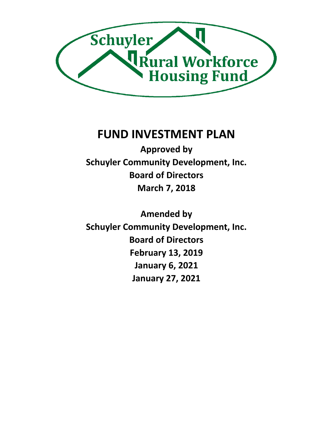

# **FUND INVESTMENT PLAN**

**Approved by Schuyler Community Development, Inc. Board of Directors March 7, 2018**

**Amended by Schuyler Community Development, Inc. Board of Directors February 13, 2019 January 6, 2021 January 27, 2021**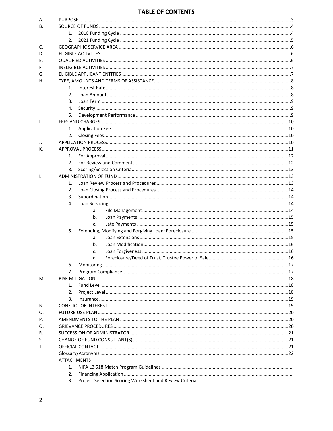#### **TABLE OF CONTENTS**

| А. |                    |  |
|----|--------------------|--|
| В. |                    |  |
|    | 1.                 |  |
|    | 2.                 |  |
| C. |                    |  |
| D. |                    |  |
| Е. |                    |  |
| F. |                    |  |
| G. |                    |  |
| Н. |                    |  |
|    | 1.                 |  |
|    | 2.                 |  |
|    | 3.                 |  |
|    | 4.                 |  |
|    | 5.                 |  |
| Ι. |                    |  |
|    | 1.                 |  |
|    | 2.                 |  |
| J. |                    |  |
| К. |                    |  |
|    | 1.                 |  |
|    | 2.                 |  |
|    | 3.                 |  |
| L. |                    |  |
|    | 1.                 |  |
|    | 2.                 |  |
|    | 3.                 |  |
|    | 4.                 |  |
|    | a.                 |  |
|    | b.                 |  |
|    | c.                 |  |
|    | 5.                 |  |
|    | a.                 |  |
|    | b.                 |  |
|    | c.<br>d.           |  |
|    | 6.                 |  |
|    | 7.                 |  |
| М. |                    |  |
|    | 1.                 |  |
|    | 2.                 |  |
|    | 3.                 |  |
| N. |                    |  |
| Ο. |                    |  |
| Ρ. |                    |  |
| Q. |                    |  |
| R. |                    |  |
| S. |                    |  |
| Т. |                    |  |
|    |                    |  |
|    | <b>ATTACHMENTS</b> |  |
|    | 1.                 |  |
|    | 2.                 |  |
|    | 3.                 |  |
|    |                    |  |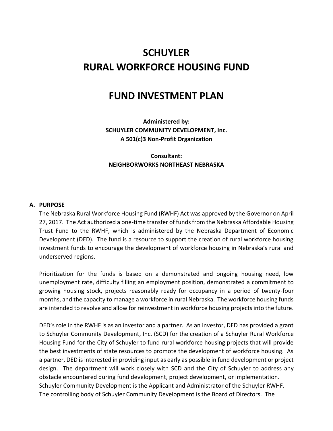# **SCHUYLER RURAL WORKFORCE HOUSING FUND**

# **FUND INVESTMENT PLAN**

**Administered by: SCHUYLER COMMUNITY DEVELOPMENT, Inc. A 501(c)3 Non-Profit Organization**

**Consultant: NEIGHBORWORKS NORTHEAST NEBRASKA**

#### **A. PURPOSE**

The Nebraska Rural Workforce Housing Fund (RWHF) Act was approved by the Governor on April 27, 2017. The Act authorized a one-time transfer of funds from the Nebraska Affordable Housing Trust Fund to the RWHF, which is administered by the Nebraska Department of Economic Development (DED). The fund is a resource to support the creation of rural workforce housing investment funds to encourage the development of workforce housing in Nebraska's rural and underserved regions.

Prioritization for the funds is based on a demonstrated and ongoing housing need, low unemployment rate, difficulty filling an employment position, demonstrated a commitment to growing housing stock, projects reasonably ready for occupancy in a period of twenty-four months, and the capacity to manage a workforce in rural Nebraska. The workforce housing funds are intended to revolve and allow for reinvestment in workforce housing projects into the future.

DED's role in the RWHF is as an investor and a partner. As an investor, DED has provided a grant to Schuyler Community Development, Inc. (SCD) for the creation of a Schuyler Rural Workforce Housing Fund for the City of Schuyler to fund rural workforce housing projects that will provide the best investments of state resources to promote the development of workforce housing. As a partner, DED is interested in providing input as early as possible in fund development or project design. The department will work closely with SCD and the City of Schuyler to address any obstacle encountered during fund development, project development, or implementation. Schuyler Community Development is the Applicant and Administrator of the Schuyler RWHF. The controlling body of Schuyler Community Development is the Board of Directors. The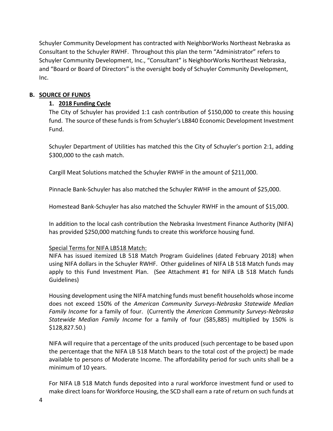Schuyler Community Development has contracted with NeighborWorks Northeast Nebraska as Consultant to the Schuyler RWHF. Throughout this plan the term "Administrator" refers to Schuyler Community Development, Inc., "Consultant" is NeighborWorks Northeast Nebraska, and "Board or Board of Directors" is the oversight body of Schuyler Community Development, Inc.

#### **B. SOURCE OF FUNDS**

#### **1. 2018 Funding Cycle**

The City of Schuyler has provided 1:1 cash contribution of \$150,000 to create this housing fund. The source of these funds is from Schuyler's LB840 Economic Development Investment Fund.

Schuyler Department of Utilities has matched this the City of Schuyler's portion 2:1, adding \$300,000 to the cash match.

Cargill Meat Solutions matched the Schuyler RWHF in the amount of \$211,000.

Pinnacle Bank-Schuyler has also matched the Schuyler RWHF in the amount of \$25,000.

Homestead Bank-Schuyler has also matched the Schuyler RWHF in the amount of \$15,000.

In addition to the local cash contribution the Nebraska Investment Finance Authority (NIFA) has provided \$250,000 matching funds to create this workforce housing fund.

#### Special Terms for NIFA LB518 Match:

NIFA has issued itemized LB 518 Match Program Guidelines (dated February 2018) when using NIFA dollars in the Schuyler RWHF. Other guidelines of NIFA LB 518 Match funds may apply to this Fund Investment Plan. (See Attachment #1 for NIFA LB 518 Match funds Guidelines)

Housing development using the NIFA matching funds must benefit households whose income does not exceed 150% of the *American Community Surveys-Nebraska Statewide Median Family Income* for a family of four. (Currently the *American Community Surveys-Nebraska Statewide Median Family Income* for a family of four (\$85,885) multiplied by 150% is \$128,827.50.)

NIFA will require that a percentage of the units produced (such percentage to be based upon the percentage that the NIFA LB 518 Match bears to the total cost of the project) be made available to persons of Moderate Income. The affordability period for such units shall be a minimum of 10 years.

For NIFA LB 518 Match funds deposited into a rural workforce investment fund or used to make direct loans for Workforce Housing, the SCD shall earn a rate of return on such funds at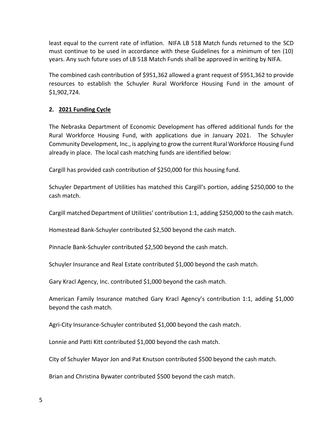least equal to the current rate of inflation. NIFA LB 518 Match funds returned to the SCD must continue to be used in accordance with these Guidelines for a minimum of ten (10) years. Any such future uses of LB 518 Match Funds shall be approved in writing by NIFA.

The combined cash contribution of \$951,362 allowed a grant request of \$951,362 to provide resources to establish the Schuyler Rural Workforce Housing Fund in the amount of \$1,902,724.

#### **2. 2021 Funding Cycle**

The Nebraska Department of Economic Development has offered additional funds for the Rural Workforce Housing Fund, with applications due in January 2021. The Schuyler Community Development, Inc., is applying to grow the current Rural Workforce Housing Fund already in place. The local cash matching funds are identified below:

Cargill has provided cash contribution of \$250,000 for this housing fund.

Schuyler Department of Utilities has matched this Cargill's portion, adding \$250,000 to the cash match.

Cargill matched Department of Utilities' contribution 1:1, adding \$250,000 to the cash match.

Homestead Bank-Schuyler contributed \$2,500 beyond the cash match.

Pinnacle Bank-Schuyler contributed \$2,500 beyond the cash match.

Schuyler Insurance and Real Estate contributed \$1,000 beyond the cash match.

Gary Kracl Agency, Inc. contributed \$1,000 beyond the cash match.

American Family Insurance matched Gary Kracl Agency's contribution 1:1, adding \$1,000 beyond the cash match.

Agri-City Insurance-Schuyler contributed \$1,000 beyond the cash match.

Lonnie and Patti Kitt contributed \$1,000 beyond the cash match.

City of Schuyler Mayor Jon and Pat Knutson contributed \$500 beyond the cash match.

Brian and Christina Bywater contributed \$500 beyond the cash match.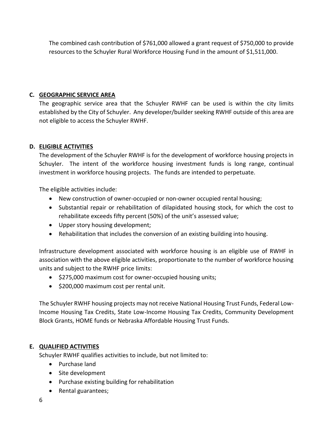The combined cash contribution of \$761,000 allowed a grant request of \$750,000 to provide resources to the Schuyler Rural Workforce Housing Fund in the amount of \$1,511,000.

## **C. GEOGRAPHIC SERVICE AREA**

The geographic service area that the Schuyler RWHF can be used is within the city limits established by the City of Schuyler. Any developer/builder seeking RWHF outside of this area are not eligible to access the Schuyler RWHF.

# **D. ELIGIBLE ACTIVITIES**

The development of the Schuyler RWHF is for the development of workforce housing projects in Schuyler. The intent of the workforce housing investment funds is long range, continual investment in workforce housing projects. The funds are intended to perpetuate.

The eligible activities include:

- New construction of owner-occupied or non-owner occupied rental housing;
- Substantial repair or rehabilitation of dilapidated housing stock, for which the cost to rehabilitate exceeds fifty percent (50%) of the unit's assessed value;
- Upper story housing development;
- Rehabilitation that includes the conversion of an existing building into housing.

Infrastructure development associated with workforce housing is an eligible use of RWHF in association with the above eligible activities, proportionate to the number of workforce housing units and subject to the RWHF price limits:

- \$275,000 maximum cost for owner-occupied housing units;
- \$200,000 maximum cost per rental unit.

The Schuyler RWHF housing projects may not receive National Housing Trust Funds, Federal Low-Income Housing Tax Credits, State Low-Income Housing Tax Credits, Community Development Block Grants, HOME funds or Nebraska Affordable Housing Trust Funds.

#### **E. QUALIFIED ACTIVITIES**

Schuyler RWHF qualifies activities to include, but not limited to:

- Purchase land
- Site development
- Purchase existing building for rehabilitation
- Rental guarantees;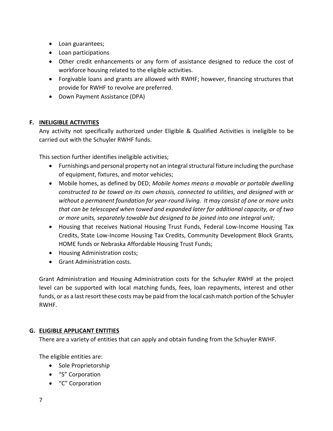- Loan guarantees;
- Loan participations
- Other credit enhancements or any form of assistance designed to reduce the cost of workforce housing related to the eligible activities.
- Forgivable loans and grants are allowed with RWHF; however, financing structures that provide for RWHF to revolve are preferred.
- Down Payment Assistance (DPA)

### **F. INELIGIBLE ACTIVITIES**

Any activity not specifically authorized under Eligible & Qualified Activities is ineligible to be carried out with the Schuyler RWHF funds.

This section further identifies ineligible activities;

- Furnishings and personal property not an integral structural fixture including the purchase of equipment, fixtures, and motor vehicles;
- Mobile homes, as defined by DED; *Mobile homes means a movable or portable dwelling constructed to be towed on its own chassis, connected to utilities, and designed with or without a permanent foundation for year-round living. It may consist of one or more units that can be telescoped when towed and expanded later for additional capacity, or of two or more units, separately towable but designed to be joined into one integral unit;*
- Housing that receives National Housing Trust Funds, Federal Low-Income Housing Tax Credits, State Low-Income Housing Tax Credits, Community Development Block Grants, HOME funds or Nebraska Affordable Housing Trust Funds;
- Housing Administration costs;
- Grant Administration costs.

Grant Administration and Housing Administration costs for the Schuyler RWHF at the project level can be supported with local matching funds, fees, loan repayments, interest and other funds, or as a last resort these costs may be paid from the local cash match portion of the Schuyler RWHF.

#### **G. ELIGIBLE APPLICANT ENTITIES**

There are a variety of entities that can apply and obtain funding from the Schuyler RWHF.

The eligible entities are:

- Sole Proprietorship
- "S" Corporation
- "C" Corporation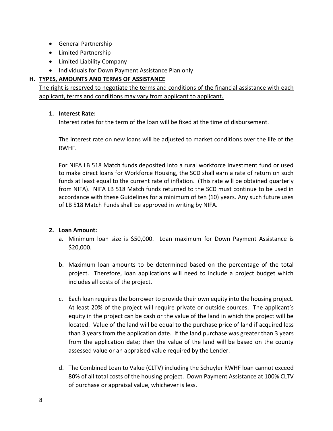- General Partnership
- Limited Partnership
- Limited Liability Company
- Individuals for Down Payment Assistance Plan only

#### **H. TYPES, AMOUNTS AND TERMS OF ASSISTANCE**

The right is reserved to negotiate the terms and conditions of the financial assistance with each applicant, terms and conditions may vary from applicant to applicant.

#### **1. Interest Rate:**

Interest rates for the term of the loan will be fixed at the time of disbursement.

The interest rate on new loans will be adjusted to market conditions over the life of the RWHF.

For NIFA LB 518 Match funds deposited into a rural workforce investment fund or used to make direct loans for Workforce Housing, the SCD shall earn a rate of return on such funds at least equal to the current rate of inflation. (This rate will be obtained quarterly from NIFA). NIFA LB 518 Match funds returned to the SCD must continue to be used in accordance with these Guidelines for a minimum of ten (10) years. Any such future uses of LB 518 Match Funds shall be approved in writing by NIFA.

#### **2. Loan Amount:**

- a. Minimum loan size is \$50,000. Loan maximum for Down Payment Assistance is \$20,000.
- b. Maximum loan amounts to be determined based on the percentage of the total project. Therefore, loan applications will need to include a project budget which includes all costs of the project.
- c. Each loan requires the borrower to provide their own equity into the housing project. At least 20% of the project will require private or outside sources. The applicant's equity in the project can be cash or the value of the land in which the project will be located. Value of the land will be equal to the purchase price of land if acquired less than 3 years from the application date. If the land purchase was greater than 3 years from the application date; then the value of the land will be based on the county assessed value or an appraised value required by the Lender.
- d. The Combined Loan to Value (CLTV) including the Schuyler RWHF loan cannot exceed 80% of all total costs of the housing project. Down Payment Assistance at 100% CLTV of purchase or appraisal value, whichever is less.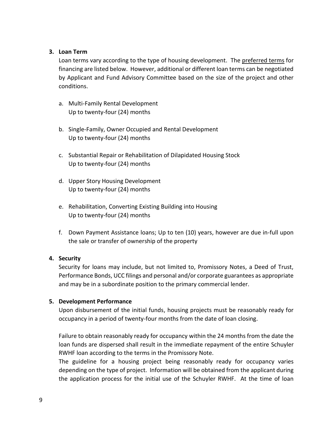#### **3. Loan Term**

Loan terms vary according to the type of housing development. The preferred terms for financing are listed below. However, additional or different loan terms can be negotiated by Applicant and Fund Advisory Committee based on the size of the project and other conditions.

- a. Multi-Family Rental Development Up to twenty-four (24) months
- b. Single-Family, Owner Occupied and Rental Development Up to twenty-four (24) months
- c. Substantial Repair or Rehabilitation of Dilapidated Housing Stock Up to twenty-four (24) months
- d. Upper Story Housing Development Up to twenty-four (24) months
- e. Rehabilitation, Converting Existing Building into Housing Up to twenty-four (24) months
- f. Down Payment Assistance loans; Up to ten (10) years, however are due in-full upon the sale or transfer of ownership of the property

#### **4. Security**

Security for loans may include, but not limited to, Promissory Notes, a Deed of Trust, Performance Bonds, UCC filings and personal and/or corporate guarantees as appropriate and may be in a subordinate position to the primary commercial lender.

#### **5. Development Performance**

Upon disbursement of the initial funds, housing projects must be reasonably ready for occupancy in a period of twenty-four months from the date of loan closing.

Failure to obtain reasonably ready for occupancy within the 24 months from the date the loan funds are dispersed shall result in the immediate repayment of the entire Schuyler RWHF loan according to the terms in the Promissory Note.

The guideline for a housing project being reasonably ready for occupancy varies depending on the type of project. Information will be obtained from the applicant during the application process for the initial use of the Schuyler RWHF. At the time of loan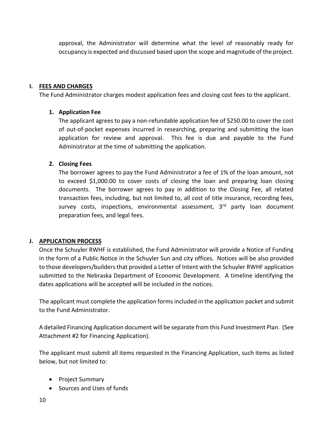approval, the Administrator will determine what the level of reasonably ready for occupancy is expected and discussed based upon the scope and magnitude of the project.

### **I. FEES AND CHARGES**

The Fund Administrator charges modest application fees and closing cost fees to the applicant.

#### **1. Application Fee**

The applicant agrees to pay a non-refundable application fee of \$250.00 to cover the cost of out-of-pocket expenses incurred in researching, preparing and submitting the loan application for review and approval. This fee is due and payable to the Fund Administrator at the time of submitting the application.

#### **2. Closing Fees**

The borrower agrees to pay the Fund Administrator a fee of 1% of the loan amount, not to exceed \$1,000.00 to cover costs of closing the loan and preparing loan closing documents. The borrower agrees to pay in addition to the Closing Fee, all related transaction fees, including, but not limited to, all cost of title insurance, recording fees, survey costs, inspections, environmental assessment, 3<sup>rd</sup> party loan document preparation fees, and legal fees.

#### **J. APPLICATION PROCESS**

Once the Schuyler RWHF is established, the Fund Administrator will provide a Notice of Funding in the form of a Public Notice in the Schuyler Sun and city offices. Notices will be also provided to those developers/builders that provided a Letter of Intent with the Schuyler RWHF application submitted to the Nebraska Department of Economic Development. A timeline identifying the dates applications will be accepted will be included in the notices.

The applicant must complete the application forms included in the application packet and submit to the Fund Administrator.

A detailed Financing Application document will be separate from this Fund Investment Plan. (See Attachment #2 for Financing Application).

The applicant must submit all items requested in the Financing Application, such items as listed below, but not limited to:

- Project Summary
- Sources and Uses of funds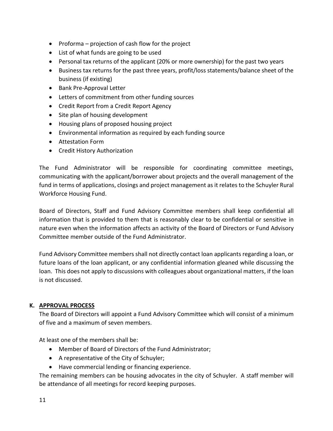- Proforma projection of cash flow for the project
- List of what funds are going to be used
- Personal tax returns of the applicant (20% or more ownership) for the past two years
- Business tax returns for the past three years, profit/loss statements/balance sheet of the business (if existing)
- Bank Pre-Approval Letter
- Letters of commitment from other funding sources
- Credit Report from a Credit Report Agency
- Site plan of housing development
- Housing plans of proposed housing project
- Environmental information as required by each funding source
- Attestation Form
- Credit History Authorization

The Fund Administrator will be responsible for coordinating committee meetings, communicating with the applicant/borrower about projects and the overall management of the fund in terms of applications, closings and project management as it relates to the Schuyler Rural Workforce Housing Fund.

Board of Directors, Staff and Fund Advisory Committee members shall keep confidential all information that is provided to them that is reasonably clear to be confidential or sensitive in nature even when the information affects an activity of the Board of Directors or Fund Advisory Committee member outside of the Fund Administrator.

Fund Advisory Committee members shall not directly contact loan applicants regarding a loan, or future loans of the loan applicant, or any confidential information gleaned while discussing the loan. This does not apply to discussions with colleagues about organizational matters, if the loan is not discussed.

#### **K. APPROVAL PROCESS**

The Board of Directors will appoint a Fund Advisory Committee which will consist of a minimum of five and a maximum of seven members.

At least one of the members shall be:

- Member of Board of Directors of the Fund Administrator;
- A representative of the City of Schuyler;
- Have commercial lending or financing experience.

The remaining members can be housing advocates in the city of Schuyler. A staff member will be attendance of all meetings for record keeping purposes.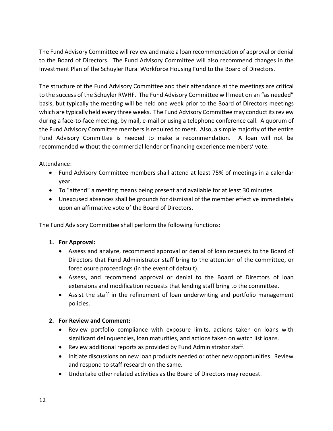The Fund Advisory Committee will review and make a loan recommendation of approval or denial to the Board of Directors. The Fund Advisory Committee will also recommend changes in the Investment Plan of the Schuyler Rural Workforce Housing Fund to the Board of Directors.

The structure of the Fund Advisory Committee and their attendance at the meetings are critical to the success of the Schuyler RWHF. The Fund Advisory Committee will meet on an "as needed" basis, but typically the meeting will be held one week prior to the Board of Directors meetings which are typically held every three weeks. The Fund Advisory Committee may conduct its review during a face-to-face meeting, by mail, e-mail or using a telephone conference call. A quorum of the Fund Advisory Committee members is required to meet. Also, a simple majority of the entire Fund Advisory Committee is needed to make a recommendation. A loan will not be recommended without the commercial lender or financing experience members' vote.

Attendance:

- Fund Advisory Committee members shall attend at least 75% of meetings in a calendar year.
- To "attend" a meeting means being present and available for at least 30 minutes.
- Unexcused absences shall be grounds for dismissal of the member effective immediately upon an affirmative vote of the Board of Directors.

The Fund Advisory Committee shall perform the following functions:

# **1. For Approval:**

- Assess and analyze, recommend approval or denial of loan requests to the Board of Directors that Fund Administrator staff bring to the attention of the committee, or foreclosure proceedings (in the event of default).
- Assess, and recommend approval or denial to the Board of Directors of loan extensions and modification requests that lending staff bring to the committee.
- Assist the staff in the refinement of loan underwriting and portfolio management policies.

# **2. For Review and Comment:**

- Review portfolio compliance with exposure limits, actions taken on loans with significant delinquencies, loan maturities, and actions taken on watch list loans.
- Review additional reports as provided by Fund Administrator staff.
- Initiate discussions on new loan products needed or other new opportunities. Review and respond to staff research on the same.
- Undertake other related activities as the Board of Directors may request.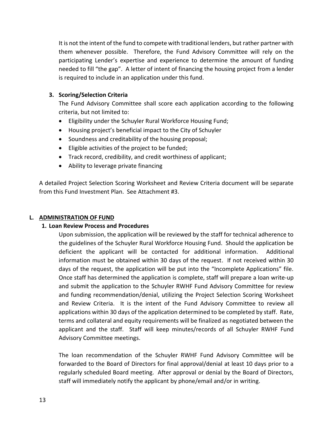It is not the intent of the fund to compete with traditional lenders, but rather partner with them whenever possible. Therefore, the Fund Advisory Committee will rely on the participating Lender's expertise and experience to determine the amount of funding needed to fill "the gap". A letter of intent of financing the housing project from a lender is required to include in an application under this fund.

#### **3. Scoring/Selection Criteria**

The Fund Advisory Committee shall score each application according to the following criteria, but not limited to:

- Eligibility under the Schuyler Rural Workforce Housing Fund;
- Housing project's beneficial impact to the City of Schuyler
- Soundness and creditability of the housing proposal;
- Eligible activities of the project to be funded;
- Track record, credibility, and credit worthiness of applicant;
- Ability to leverage private financing

A detailed Project Selection Scoring Worksheet and Review Criteria document will be separate from this Fund Investment Plan. See Attachment #3.

#### **L. ADMINISTRATION OF FUND**

#### **1. Loan Review Process and Procedures**

Upon submission, the application will be reviewed by the staff for technical adherence to the guidelines of the Schuyler Rural Workforce Housing Fund. Should the application be deficient the applicant will be contacted for additional information. Additional information must be obtained within 30 days of the request. If not received within 30 days of the request, the application will be put into the "Incomplete Applications" file. Once staff has determined the application is complete, staff will prepare a loan write-up and submit the application to the Schuyler RWHF Fund Advisory Committee for review and funding recommendation/denial, utilizing the Project Selection Scoring Worksheet and Review Criteria. It is the intent of the Fund Advisory Committee to review all applications within 30 days of the application determined to be completed by staff. Rate, terms and collateral and equity requirements will be finalized as negotiated between the applicant and the staff. Staff will keep minutes/records of all Schuyler RWHF Fund Advisory Committee meetings.

The loan recommendation of the Schuyler RWHF Fund Advisory Committee will be forwarded to the Board of Directors for final approval/denial at least 10 days prior to a regularly scheduled Board meeting. After approval or denial by the Board of Directors, staff will immediately notify the applicant by phone/email and/or in writing.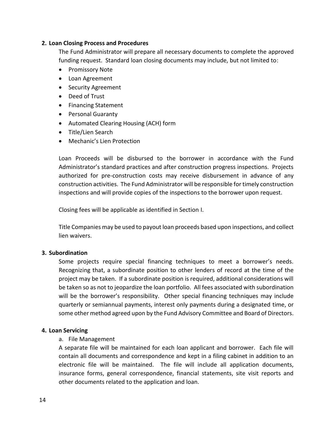#### **2. Loan Closing Process and Procedures**

The Fund Administrator will prepare all necessary documents to complete the approved funding request. Standard loan closing documents may include, but not limited to:

- Promissory Note
- Loan Agreement
- Security Agreement
- Deed of Trust
- Financing Statement
- Personal Guaranty
- Automated Clearing Housing (ACH) form
- Title/Lien Search
- Mechanic's Lien Protection

Loan Proceeds will be disbursed to the borrower in accordance with the Fund Administrator's standard practices and after construction progress inspections. Projects authorized for pre-construction costs may receive disbursement in advance of any construction activities. The Fund Administrator will be responsible for timely construction inspections and will provide copies of the inspections to the borrower upon request.

Closing fees will be applicable as identified in Section I.

Title Companies may be used to payout loan proceeds based upon inspections, and collect lien waivers.

#### **3. Subordination**

Some projects require special financing techniques to meet a borrower's needs. Recognizing that, a subordinate position to other lenders of record at the time of the project may be taken. If a subordinate position is required, additional considerations will be taken so as not to jeopardize the loan portfolio. All fees associated with subordination will be the borrower's responsibility. Other special financing techniques may include quarterly or semiannual payments, interest only payments during a designated time, or some other method agreed upon by the Fund Advisory Committee and Board of Directors.

#### **4. Loan Servicing**

#### a. File Management

A separate file will be maintained for each loan applicant and borrower. Each file will contain all documents and correspondence and kept in a filing cabinet in addition to an electronic file will be maintained. The file will include all application documents, insurance forms, general correspondence, financial statements, site visit reports and other documents related to the application and loan.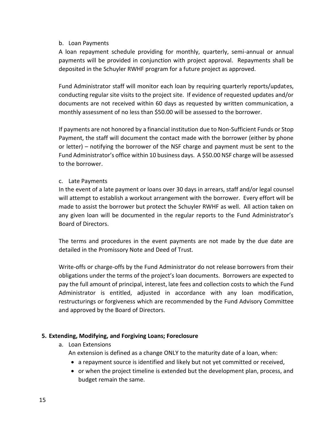#### b. Loan Payments

A loan repayment schedule providing for monthly, quarterly, semi-annual or annual payments will be provided in conjunction with project approval. Repayments shall be deposited in the Schuyler RWHF program for a future project as approved.

Fund Administrator staff will monitor each loan by requiring quarterly reports/updates, conducting regular site visits to the project site. If evidence of requested updates and/or documents are not received within 60 days as requested by written communication, a monthly assessment of no less than \$50.00 will be assessed to the borrower.

If payments are not honored by a financial institution due to Non-Sufficient Funds or Stop Payment, the staff will document the contact made with the borrower (either by phone or letter) – notifying the borrower of the NSF charge and payment must be sent to the Fund Administrator's office within 10 business days. A \$50.00 NSF charge will be assessed to the borrower.

#### c. Late Payments

In the event of a late payment or loans over 30 days in arrears, staff and/or legal counsel will attempt to establish a workout arrangement with the borrower. Every effort will be made to assist the borrower but protect the Schuyler RWHF as well. All action taken on any given loan will be documented in the regular reports to the Fund Administrator's Board of Directors.

The terms and procedures in the event payments are not made by the due date are detailed in the Promissory Note and Deed of Trust.

Write-offs or charge-offs by the Fund Administrator do not release borrowers from their obligations under the terms of the project's loan documents. Borrowers are expected to pay the full amount of principal, interest, late fees and collection costs to which the Fund Administrator is entitled, adjusted in accordance with any loan modification, restructurings or forgiveness which are recommended by the Fund Advisory Committee and approved by the Board of Directors.

#### **5. Extending, Modifying, and Forgiving Loans; Foreclosure**

a. Loan Extensions

An extension is defined as a change ONLY to the maturity date of a loan, when:

- a repayment source is identified and likely but not yet committed or received,
- or when the project timeline is extended but the development plan, process, and budget remain the same.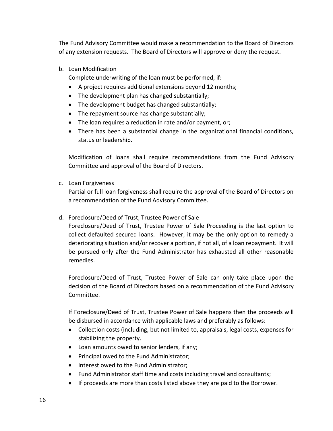The Fund Advisory Committee would make a recommendation to the Board of Directors of any extension requests. The Board of Directors will approve or deny the request.

b. Loan Modification

Complete underwriting of the loan must be performed, if:

- A project requires additional extensions beyond 12 months;
- The development plan has changed substantially;
- The development budget has changed substantially;
- The repayment source has change substantially;
- The loan requires a reduction in rate and/or payment, or;
- There has been a substantial change in the organizational financial conditions, status or leadership.

Modification of loans shall require recommendations from the Fund Advisory Committee and approval of the Board of Directors.

c. Loan Forgiveness

Partial or full loan forgiveness shall require the approval of the Board of Directors on a recommendation of the Fund Advisory Committee.

d. Foreclosure/Deed of Trust, Trustee Power of Sale

Foreclosure/Deed of Trust, Trustee Power of Sale Proceeding is the last option to collect defaulted secured loans. However, it may be the only option to remedy a deteriorating situation and/or recover a portion, if not all, of a loan repayment. It will be pursued only after the Fund Administrator has exhausted all other reasonable remedies.

Foreclosure/Deed of Trust, Trustee Power of Sale can only take place upon the decision of the Board of Directors based on a recommendation of the Fund Advisory Committee.

If Foreclosure/Deed of Trust, Trustee Power of Sale happens then the proceeds will be disbursed in accordance with applicable laws and preferably as follows:

- Collection costs (including, but not limited to, appraisals, legal costs, expenses for stabilizing the property.
- Loan amounts owed to senior lenders, if any;
- Principal owed to the Fund Administrator;
- Interest owed to the Fund Administrator;
- Fund Administrator staff time and costs including travel and consultants;
- If proceeds are more than costs listed above they are paid to the Borrower.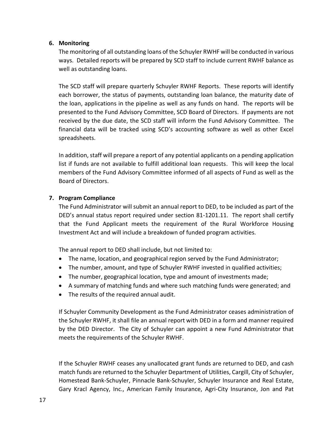#### **6. Monitoring**

The monitoring of all outstanding loans of the Schuyler RWHF will be conducted in various ways. Detailed reports will be prepared by SCD staff to include current RWHF balance as well as outstanding loans.

The SCD staff will prepare quarterly Schuyler RWHF Reports. These reports will identify each borrower, the status of payments, outstanding loan balance, the maturity date of the loan, applications in the pipeline as well as any funds on hand. The reports will be presented to the Fund Advisory Committee, SCD Board of Directors. If payments are not received by the due date, the SCD staff will inform the Fund Advisory Committee. The financial data will be tracked using SCD's accounting software as well as other Excel spreadsheets.

In addition, staff will prepare a report of any potential applicants on a pending application list if funds are not available to fulfill additional loan requests. This will keep the local members of the Fund Advisory Committee informed of all aspects of Fund as well as the Board of Directors.

#### **7. Program Compliance**

The Fund Administrator will submit an annual report to DED, to be included as part of the DED's annual status report required under section 81-1201.11. The report shall certify that the Fund Applicant meets the requirement of the Rural Workforce Housing Investment Act and will include a breakdown of funded program activities.

The annual report to DED shall include, but not limited to:

- The name, location, and geographical region served by the Fund Administrator;
- The number, amount, and type of Schuyler RWHF invested in qualified activities;
- The number, geographical location, type and amount of investments made;
- A summary of matching funds and where such matching funds were generated; and
- The results of the required annual audit.

If Schuyler Community Development as the Fund Administrator ceases administration of the Schuyler RWHF, it shall file an annual report with DED in a form and manner required by the DED Director. The City of Schuyler can appoint a new Fund Administrator that meets the requirements of the Schuyler RWHF.

If the Schuyler RWHF ceases any unallocated grant funds are returned to DED, and cash match funds are returned to the Schuyler Department of Utilities, Cargill, City of Schuyler, Homestead Bank-Schuyler, Pinnacle Bank-Schuyler, Schuyler Insurance and Real Estate, Gary Kracl Agency, Inc., American Family Insurance, Agri-City Insurance, Jon and Pat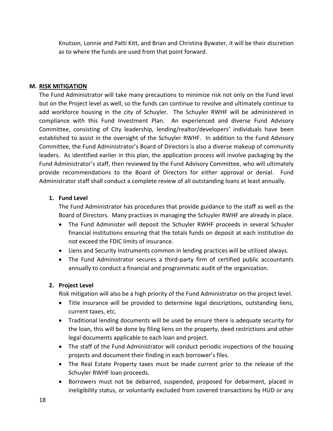Knutson, Lonnie and Patti Kitt, and Brian and Christina Bywater, it will be their discretion as to where the funds are used from that point forward.

#### **M. RISK MITIGATION**

The Fund Administrator will take many precautions to minimize risk not only on the Fund level but on the Project level as well, so the funds can continue to revolve and ultimately continue to add workforce housing in the city of Schuyler. The Schuyler RWHF will be administered in compliance with this Fund Investment Plan. An experienced and diverse Fund Advisory Committee, consisting of City leadership, lending/realtor/developers' individuals have been established to assist in the oversight of the Schuyler RWHF. In addition to the Fund Advisory Committee, the Fund Administrator's Board of Directors is also a diverse makeup of community leaders. As identified earlier in this plan, the application process will involve packaging by the Fund Administrator's staff, then reviewed by the Fund Advisory Committee, who will ultimately provide recommendations to the Board of Directors for either approval or denial. Fund Administrator staff shall conduct a complete review of all outstanding loans at least annually.

#### **1. Fund Level**

The Fund Administrator has procedures that provide guidance to the staff as well as the Board of Directors. Many practices in managing the Schuyler RWHF are already in place.

- The Fund Administer will deposit the Schuyler RWHF proceeds in several Schuyler financial institutions ensuring that the totals funds on deposit at each institution do not exceed the FDIC limits of insurance.
- Liens and Security Instruments common in lending practices will be utilized always.
- The Fund Administrator secures a third-party firm of certified public accountants annually to conduct a financial and programmatic audit of the organization.

#### **2. Project Level**

Risk mitigation will also be a high priority of the Fund Administrator on the project level.

- Title insurance will be provided to determine legal descriptions, outstanding liens, current taxes, etc.
- Traditional lending documents will be used be ensure there is adequate security for the loan, this will be done by filing liens on the property, deed restrictions and other legal documents applicable to each loan and project.
- The staff of the Fund Administrator will conduct periodic inspections of the housing projects and document their finding in each borrower's files.
- The Real Estate Property taxes must be made current prior to the release of the Schuyler RWHF loan proceeds.
- Borrowers must not be debarred, suspended, proposed for debarment, placed in ineligibility status, or voluntarily excluded from covered transactions by HUD or any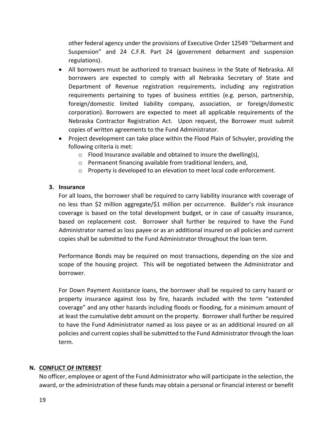other federal agency under the provisions of Executive Order 12549 "Debarment and Suspension" and 24 C.F.R. Part 24 (government debarment and suspension regulations).

- All borrowers must be authorized to transact business in the State of Nebraska. All borrowers are expected to comply with all Nebraska Secretary of State and Department of Revenue registration requirements, including any registration requirements pertaining to types of business entities (e.g. person, partnership, foreign/domestic limited liability company, association, or foreign/domestic corporation). Borrowers are expected to meet all applicable requirements of the Nebraska Contractor Registration Act. Upon request, the Borrower must submit copies of written agreements to the Fund Administrator.
- Project development can take place within the Flood Plain of Schuyler, providing the following criteria is met:
	- o Flood Insurance available and obtained to insure the dwelling(s),
	- o Permanent financing available from traditional lenders, and,
	- o Property is developed to an elevation to meet local code enforcement.

#### **3. Insurance**

For all loans, the borrower shall be required to carry liability insurance with coverage of no less than \$2 million aggregate/\$1 million per occurrence. Builder's risk insurance coverage is based on the total development budget, or in case of casualty insurance, based on replacement cost. Borrower shall further be required to have the Fund Administrator named as loss payee or as an additional insured on all policies and current copies shall be submitted to the Fund Administrator throughout the loan term.

Performance Bonds may be required on most transactions, depending on the size and scope of the housing project. This will be negotiated between the Administrator and borrower.

For Down Payment Assistance loans, the borrower shall be required to carry hazard or property insurance against loss by fire, hazards included with the term "extended coverage" and any other hazards including floods or flooding, for a minimum amount of at least the cumulative debt amount on the property. Borrower shall further be required to have the Fund Administrator named as loss payee or as an additional insured on all policies and current copies shall be submitted to the Fund Administrator through the loan term.

# **N. CONFLICT OF INTEREST**

No officer, employee or agent of the Fund Administrator who will participate in the selection, the award, or the administration of these funds may obtain a personal or financial interest or benefit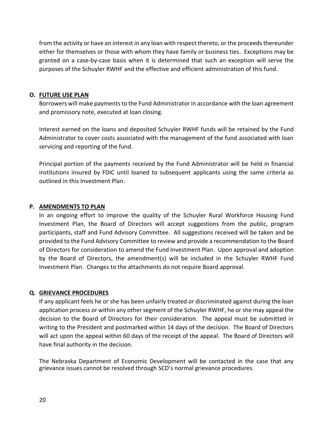from the activity or have an interest in any loan with respect thereto, or the proceeds thereunder either for themselves or those with whom they have family or business ties. Exceptions may be granted on a case-by-case basis when it is determined that such an exception will serve the purposes of the Schuyler RWHF and the effective and efficient administration of this fund.

#### **O. FUTURE USE PLAN**

Borrowers will make payments to the Fund Administrator in accordance with the loan agreement and promissory note, executed at loan closing.

Interest earned on the loans and deposited Schuyler RWHF funds will be retained by the Fund Administrator to cover costs associated with the management of the fund associated with loan servicing and reporting of the fund.

Principal portion of the payments received by the Fund Administrator will be held in financial institutions insured by FDIC until loaned to subsequent applicants using the same criteria as outlined in this Investment Plan.

#### **P. AMENDMENTS TO PLAN**

In an ongoing effort to improve the quality of the Schuyler Rural Workforce Housing Fund Investment Plan, the Board of Directors will accept suggestions from the public, program participants, staff and Fund Advisory Committee. All suggestions received will be taken and be provided to the Fund Advisory Committee to review and provide a recommendation to the Board of Directors for consideration to amend the Fund Investment Plan. Upon approval and adoption by the Board of Directors, the amendment(s) will be included in the Schuyler RWHF Fund Investment Plan. Changes to the attachments do not require Board approval.

#### **Q. GRIEVANCE PROCEDURES**

If any applicant feels he or she has been unfairly treated or discriminated against during the loan application process or within any other segment of the Schuyler RWHF, he or she may appeal the decision to the Board of Directors for their consideration. The appeal must be submitted in writing to the President and postmarked within 14 days of the decision. The Board of Directors will act upon the appeal within 60 days of the receipt of the appeal. The Board of Directors will have final authority in the decision.

The Nebraska Department of Economic Development will be contacted in the case that any grievance issues cannot be resolved through SCD's normal grievance procedures.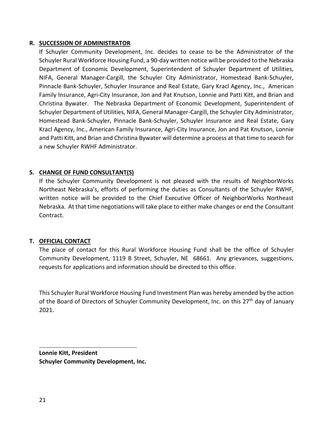#### **R. SUCCESSION OF ADMINISTRATOR**

If Schuyler Community Development, Inc. decides to cease to be the Administrator of the Schuyler Rural Workforce Housing Fund, a 90-day written notice will be provided to the Nebraska Department of Economic Development, Superintendent of Schuyler Department of Utilities, NIFA, General Manager-Cargill, the Schuyler City Administrator, Homestead Bank-Schuyler, Pinnacle Bank-Schuyler, Schuyler Insurance and Real Estate, Gary Kracl Agency, Inc., American Family Insurance, Agri-City Insurance, Jon and Pat Knutson, Lonnie and Patti Kitt, and Brian and Christina Bywater. The Nebraska Department of Economic Development, Superintendent of Schuyler Department of Utilities, NIFA, General Manager-Cargill, the Schuyler City Administrator, Homestead Bank-Schuyler, Pinnacle Bank-Schuyler, Schuyler Insurance and Real Estate, Gary Kracl Agency, Inc., American Family Insurance, Agri-City Insurance, Jon and Pat Knutson, Lonnie and Patti Kitt, and Brian and Christina Bywater will determine a process at that time to search for a new Schuyler RWHF Administrator.

### **S. CHANGE OF FUND CONSULTANT(S)**

If the Schuyler Community Development is not pleased with the results of NeighborWorks Northeast Nebraska's, efforts of performing the duties as Consultants of the Schuyler RWHF, written notice will be provided to the Chief Executive Officer of NeighborWorks Northeast Nebraska. At that time negotiations will take place to either make changes or end the Consultant Contract.

#### **T. OFFICIAL CONTACT**

The place of contact for this Rural Workforce Housing Fund shall be the office of Schuyler Community Development, 1119 B Street, Schuyler, NE 68661. Any grievances, suggestions, requests for applications and information should be directed to this office.

This Schuyler Rural Workforce Housing Fund Investment Plan was hereby amended by the action of the Board of Directors of Schuyler Community Development, Inc. on this 27<sup>th</sup> day of January 2021.

**Lonnie Kitt, President Schuyler Community Development, Inc.**